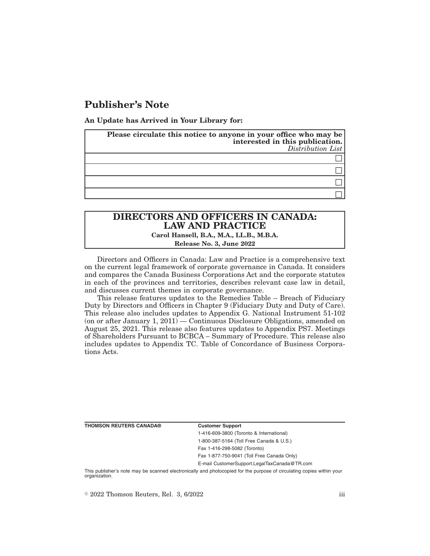# **Publisher's Note**

**An Update has Arrived in Your Library for:**

| Please circulate this notice to anyone in your office who may be<br>interested in this publication.<br>$Distribution$ List |
|----------------------------------------------------------------------------------------------------------------------------|
|                                                                                                                            |
|                                                                                                                            |
|                                                                                                                            |
|                                                                                                                            |

# **DIRECTORS AND OFFICERS IN CANADA: LAW AND PRACTICE Carol Hansell, B.A., M.A., LL.B., M.B.A. Release No. 3, June 2022**

Directors and Officers in Canada: Law and Practice is a comprehensive text on the current legal framework of corporate governance in Canada. It considers and compares the Canada Business Corporations Act and the corporate statutes in each of the provinces and territories, describes relevant case law in detail, and discusses current themes in corporate governance.

This release features updates to the Remedies Table – Breach of Fiduciary Duty by Directors and Officers in Chapter 9 (Fiduciary Duty and Duty of Care). This release also includes updates to Appendix G. National Instrument 51-102 (on or after January 1,  $2011$ ) — Continuous Disclosure Obligations, amended on August 25, 2021. This release also features updates to Appendix PS7. Meetings of Shareholders Pursuant to BCBCA – Summary of Procedure. This release also includes updates to Appendix TC. Table of Concordance of Business Corporations Acts.

**THOMSON REUTERS CANADA® Customer Support**

1-416-609-3800 (Toronto & International) 1-800-387-5164 (Toll Free Canada & U.S.) Fax 1-416-298-5082 (Toronto)

Fax 1-877-750-9041 (Toll Free Canada Only)

E-mail CustomerSupport.LegalTaxCanada@TR.com

This publisher's note may be scanned electronically and photocopied for the purpose of circulating copies within your organization.

 $\degree$  2022 Thomson Reuters, Rel. 3, 6/2022 iii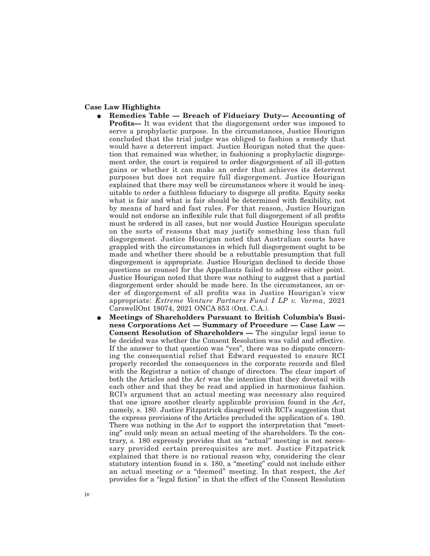### **Case Law Highlights**

- E **Remedies Table Breach of Fiduciary Duty— Accounting of Profits—** It was evident that the disgorgement order was imposed to serve a prophylactic purpose. In the circumstances, Justice Hourigan concluded that the trial judge was obliged to fashion a remedy that would have a deterrent impact. Justice Hourigan noted that the question that remained was whether, in fashioning a prophylactic disgorgement order, the court is required to order disgorgement of all ill-gotten gains or whether it can make an order that achieves its deterrent purposes but does not require full disgorgement. Justice Hourigan explained that there may well be circumstances where it would be inequitable to order a faithless fiduciary to disgorge all profits. Equity seeks what is fair and what is fair should be determined with flexibility, not by means of hard and fast rules. For that reason, Justice Hourigan would not endorse an inflexible rule that full disgorgement of all profits must be ordered in all cases, but nor would Justice Hourigan speculate on the sorts of reasons that may justify something less than full disgorgement. Justice Hourigan noted that Australian courts have grappled with the circumstances in which full disgorgement ought to be made and whether there should be a rebuttable presumption that full disgorgement is appropriate. Justice Hourigan declined to decide those questions as counsel for the Appellants failed to address either point. Justice Hourigan noted that there was nothing to suggest that a partial disgorgement order should be made here. In the circumstances, an order of disgorgement of all profits was in Justice Hourigan's view appropriate: *Extreme Venture Partners Fund I LP v. Varma*, 2021 CarswellOnt 18074, 2021 ONCA 853 (Ont. C.A.).
- E **Meetings of Shareholders Pursuant to British Columbia's Business Corporations Act — Summary of Procedure — Case Law — Consent Resolution of Shareholders —** The singular legal issue to be decided was whether the Consent Resolution was valid and effective. If the answer to that question was "yes", there was no dispute concerning the consequential relief that Edward requested to ensure RCI properly recorded the consequences in the corporate records and filed with the Registrar a notice of change of directors. The clear import of both the Articles and the *Act* was the intention that they dovetail with each other and that they be read and applied in harmonious fashion. RCI's argument that an actual meeting was necessary also required that one ignore another clearly applicable provision found in the *Act*, namely, s. 180. Justice Fitzpatrick disagreed with RCI's suggestion that the express provisions of the Articles precluded the application of s. 180. There was nothing in the *Act* to support the interpretation that "meeting" could only mean an actual meeting of the shareholders. To the contrary, s. 180 expressly provides that an "actual" meeting is not necessary provided certain prerequisites are met. Justice Fitzpatrick explained that there is no rational reason why, considering the clear statutory intention found in s. 180, a "meeting" could not include either an actual meeting *or* a "deemed" meeting. In that respect, the *Act* provides for a "legal fiction" in that the effect of the Consent Resolution